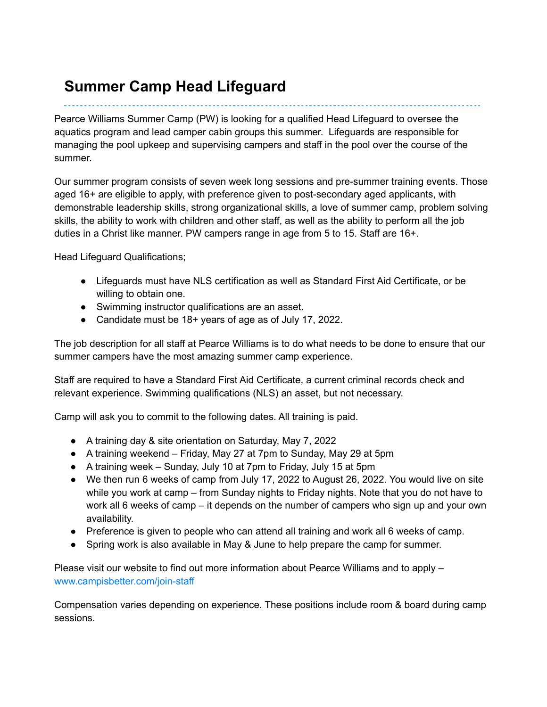## **Summer Camp Head Lifeguard**

Pearce Williams Summer Camp (PW) is looking for a qualified Head Lifeguard to oversee the aquatics program and lead camper cabin groups this summer. Lifeguards are responsible for managing the pool upkeep and supervising campers and staff in the pool over the course of the summer.

Our summer program consists of seven week long sessions and pre-summer training events. Those aged 16+ are eligible to apply, with preference given to post-secondary aged applicants, with demonstrable leadership skills, strong organizational skills, a love of summer camp, problem solving skills, the ability to work with children and other staff, as well as the ability to perform all the job duties in a Christ like manner. PW campers range in age from 5 to 15. Staff are 16+.

Head Lifeguard Qualifications;

- Lifeguards must have NLS certification as well as Standard First Aid Certificate, or be willing to obtain one.
- Swimming instructor qualifications are an asset.
- Candidate must be 18+ years of age as of July 17, 2022.

The job description for all staff at Pearce Williams is to do what needs to be done to ensure that our summer campers have the most amazing summer camp experience.

Staff are required to have a Standard First Aid Certificate, a current criminal records check and relevant experience. Swimming qualifications (NLS) an asset, but not necessary.

Camp will ask you to commit to the following dates. All training is paid.

- A training day & site orientation on Saturday, May 7, 2022
- A training weekend Friday, May 27 at 7pm to Sunday, May 29 at 5pm
- A training week Sunday, July 10 at 7pm to Friday, July 15 at 5pm
- We then run 6 weeks of camp from July 17, 2022 to August 26, 2022. You would live on site while you work at camp – from Sunday nights to Friday nights. Note that you do not have to work all 6 weeks of camp – it depends on the number of campers who sign up and your own availability.
- Preference is given to people who can attend all training and work all 6 weeks of camp.
- Spring work is also available in May & June to help prepare the camp for summer.

Please visit our website to find out more information about Pearce Williams and to apply – [www.campisbetter.com/join-staff](http://www.campisbetter.com/join-staff)

Compensation varies depending on experience. These positions include room & board during camp sessions.